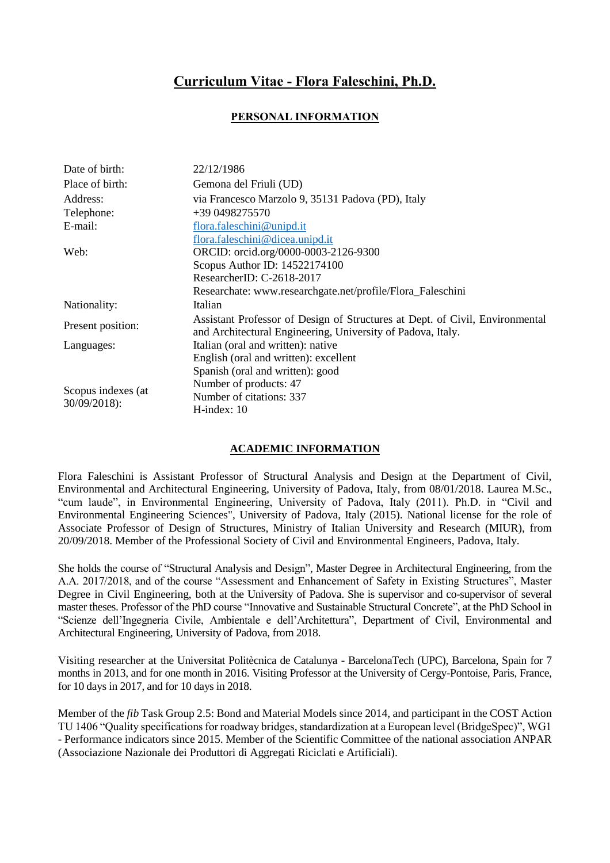## **Curriculum Vitae - Flora Faleschini, Ph.D.**

## **PERSONAL INFORMATION**

| Date of birth:                     | 22/12/1986                                                                                                                                  |
|------------------------------------|---------------------------------------------------------------------------------------------------------------------------------------------|
| Place of birth:                    | Gemona del Friuli (UD)                                                                                                                      |
| Address:                           | via Francesco Marzolo 9, 35131 Padova (PD), Italy                                                                                           |
| Telephone:                         | $+390498275570$                                                                                                                             |
| E-mail:                            | flora.faleschini@unipd.it                                                                                                                   |
|                                    | flora.faleschini@dicea.unipd.it                                                                                                             |
| Web:                               | ORCID: orcid.org/0000-0003-2126-9300                                                                                                        |
|                                    | Scopus Author ID: 14522174100                                                                                                               |
|                                    | ResearcherID: C-2618-2017                                                                                                                   |
|                                    | Researchate: www.researchgate.net/profile/Flora_Faleschini                                                                                  |
| Nationality:                       | Italian                                                                                                                                     |
| Present position:                  | Assistant Professor of Design of Structures at Dept. of Civil, Environmental<br>and Architectural Engineering, University of Padova, Italy. |
| Languages:                         | Italian (oral and written): native                                                                                                          |
|                                    | English (oral and written): excellent                                                                                                       |
|                                    | Spanish (oral and written): good                                                                                                            |
| Scopus indexes (at<br>30/09/2018): | Number of products: 47                                                                                                                      |
|                                    | Number of citations: 337                                                                                                                    |
|                                    | $H$ -index: 10                                                                                                                              |

## **ACADEMIC INFORMATION**

Flora Faleschini is Assistant Professor of Structural Analysis and Design at the Department of Civil, Environmental and Architectural Engineering, University of Padova, Italy, from 08/01/2018. Laurea M.Sc., "cum laude", in Environmental Engineering, University of Padova, Italy (2011). Ph.D. in "Civil and Environmental Engineering Sciences", University of Padova, Italy (2015). National license for the role of Associate Professor of Design of Structures, Ministry of Italian University and Research (MIUR), from 20/09/2018. Member of the Professional Society of Civil and Environmental Engineers, Padova, Italy.

She holds the course of "Structural Analysis and Design", Master Degree in Architectural Engineering, from the A.A. 2017/2018, and of the course "Assessment and Enhancement of Safety in Existing Structures", Master Degree in Civil Engineering, both at the University of Padova. She is supervisor and co-supervisor of several master theses. Professor of the PhD course "Innovative and Sustainable Structural Concrete", at the PhD School in "Scienze dell'Ingegneria Civile, Ambientale e dell'Architettura", Department of Civil, Environmental and Architectural Engineering, University of Padova, from 2018.

Visiting researcher at the Universitat Politècnica de Catalunya - BarcelonaTech (UPC), Barcelona, Spain for 7 months in 2013, and for one month in 2016. Visiting Professor at the University of Cergy-Pontoise, Paris, France, for 10 days in 2017, and for 10 days in 2018.

Member of the *fib* Task Group 2.5: Bond and Material Models since 2014, and participant in the COST Action TU 1406 "Quality specifications for roadway bridges, standardization at a European level (BridgeSpec)", WG1 - Performance indicators since 2015. Member of the Scientific Committee of the national association ANPAR (Associazione Nazionale dei Produttori di Aggregati Riciclati e Artificiali).